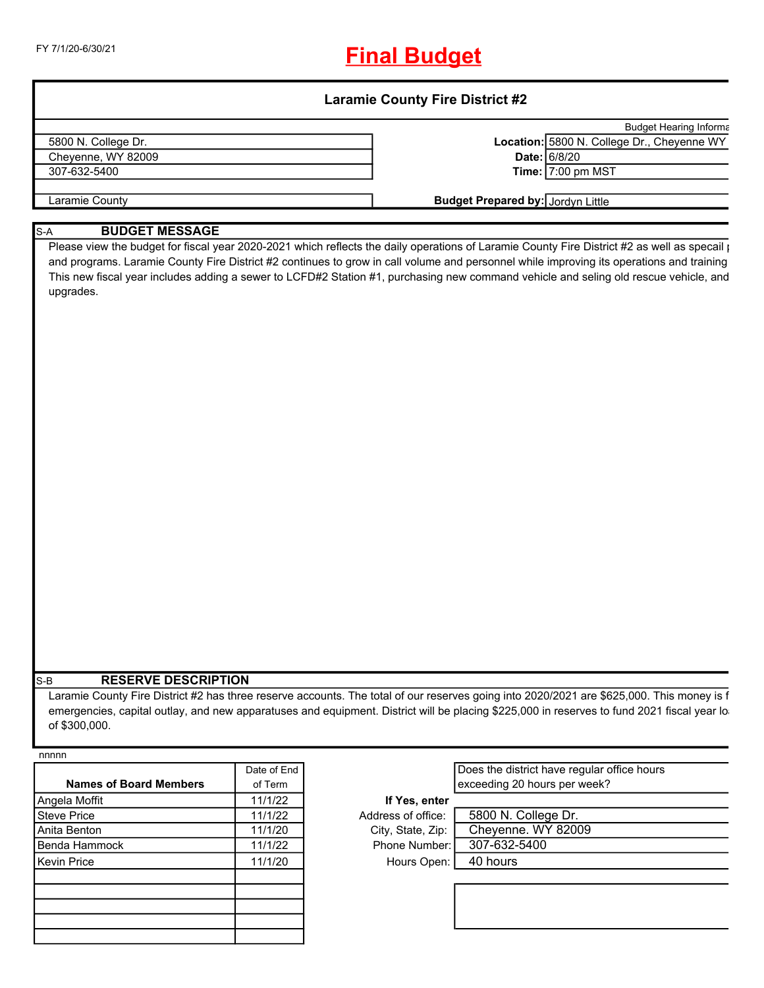# **Final Budget**

## **Laramie County Fire District #2**

|                     | <b>Budget Hearing Informa</b>              |
|---------------------|--------------------------------------------|
| 5800 N. College Dr. | Location: 5800 N. College Dr., Cheyenne WY |
| Cheyenne, WY 82009  | <b>Date: 6/8/20</b>                        |
| 307-632-5400        | Time: $7:00$ pm MST                        |
|                     |                                            |
| Laramie County      | <b>Budget Prepared by: Jordyn Little</b>   |

## S-A **BUDGET MESSAGE**

Please view the budget for fiscal year 2020-2021 which reflects the daily operations of Laramie County Fire District #2 as well as specail products and programs. Laramie County Fire District #2 continues to grow in call volume and personnel while improving its operations and training This new fiscal year includes adding a sewer to LCFD#2 Station #1, purchasing new command vehicle and seling old rescue vehicle, and upgrades.

### S-B **RESERVE DESCRIPTION**

Laramie County Fire District #2 has three reserve accounts. The total of our reserves going into 2020/2021 are \$625,000. This money is f emergencies, capital outlay, and new apparatuses and equipment. District will be placing \$225,000 in reserves to fund 2021 fiscal year loan of \$300,000.

nnnnn

|                               | Date of End |
|-------------------------------|-------------|
| <b>Names of Board Members</b> | of Term     |
| Angela Moffit                 | 11/1/22     |
| <b>Steve Price</b>            | 11/1/22     |
| Anita Benton                  | 11/1/20     |
| Benda Hammock                 | 11/1/22     |
| <b>Kevin Price</b>            | 11/1/20     |
|                               |             |
|                               |             |
|                               |             |
|                               |             |
|                               |             |

| Date of End |                    | Does the district have regular office hours |
|-------------|--------------------|---------------------------------------------|
| of Term     |                    | exceeding 20 hours per week?                |
| 11/1/22     | If Yes, enter      |                                             |
| 11/1/22     | Address of office: | 5800 N. College Dr.                         |
| 11/1/20     | City, State, Zip:  | Cheyenne. WY 82009                          |
| 11/1/22     | Phone Number:      | 307-632-5400                                |
| 11/1/20     | Hours Open:        | 40 hours                                    |
|             |                    |                                             |
|             |                    |                                             |
|             |                    |                                             |
|             |                    |                                             |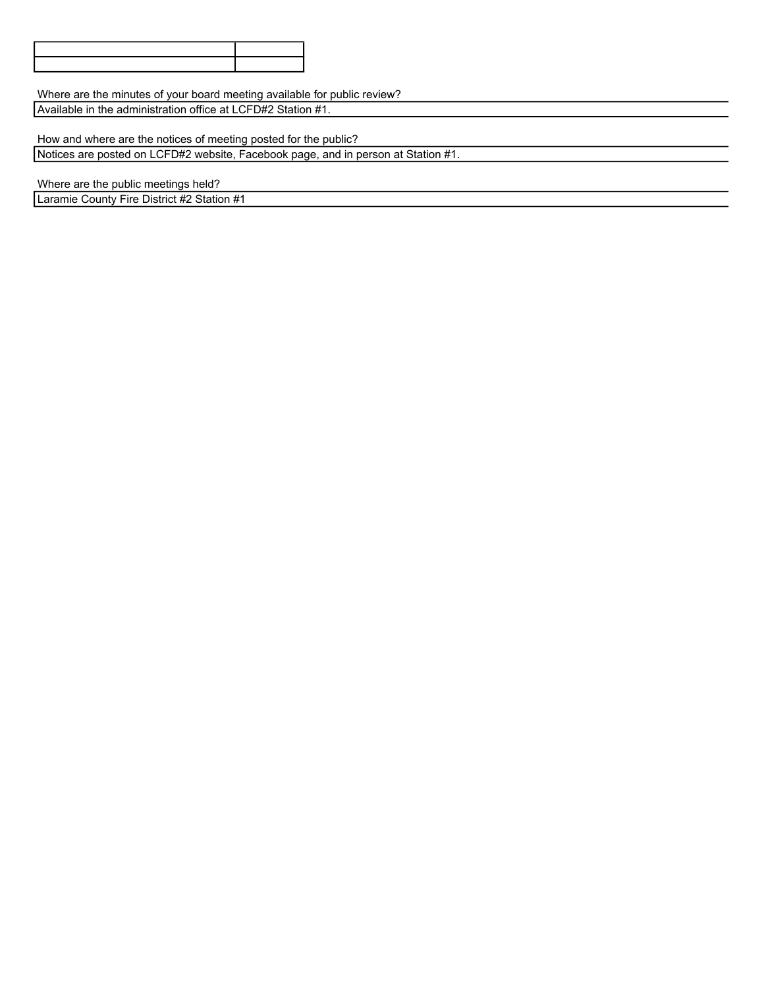Where are the minutes of your board meeting available for public review?

Available in the administration office at LCFD#2 Station #1.

How and where are the notices of meeting posted for the public? Notices are posted on LCFD#2 website, Facebook page, and in person at Station #1.

Where are the public meetings held?

Laramie County Fire District #2 Station #1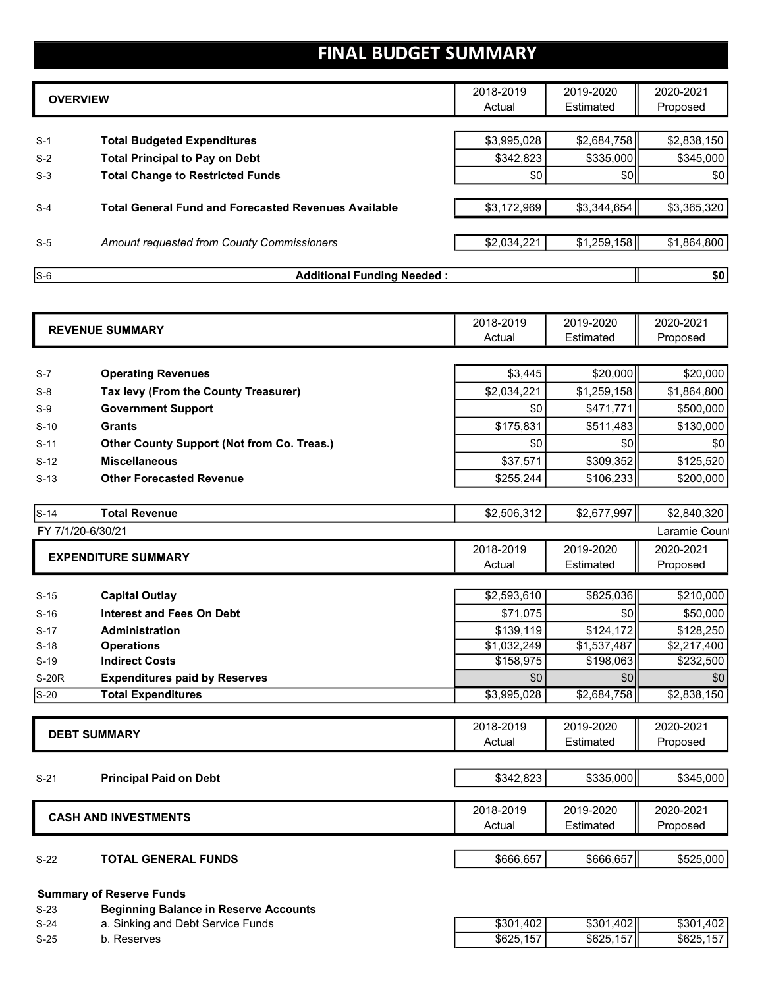## **FINAL BUDGET SUMMARY**

|       | <b>OVERVIEW</b>                                             | 2018-2019   | 2019-2020   | 2020-2021   |
|-------|-------------------------------------------------------------|-------------|-------------|-------------|
|       |                                                             | Actual      | Estimated   | Proposed    |
|       |                                                             |             |             |             |
| $S-1$ | <b>Total Budgeted Expenditures</b>                          | \$3,995,028 | \$2,684,758 | \$2,838,150 |
| $S-2$ | <b>Total Principal to Pay on Debt</b>                       | \$342,823   | \$335,000   | \$345,000   |
| $S-3$ | <b>Total Change to Restricted Funds</b>                     | \$0         | \$0         | \$0         |
|       |                                                             |             |             |             |
| $S-4$ | <b>Total General Fund and Forecasted Revenues Available</b> | \$3,172,969 | \$3,344,654 | \$3,365,320 |
|       |                                                             |             |             |             |
| $S-5$ | Amount requested from County Commissioners                  | \$2,034,221 | \$1,259,158 | \$1,864,800 |
|       |                                                             |             |             |             |
| $S-6$ | <b>Additional Funding Needed:</b>                           |             |             | <b>\$0</b>  |

|        | <b>REVENUE SUMMARY</b>                     | 2018-2019   | 2019-2020   | 2020-2021    |
|--------|--------------------------------------------|-------------|-------------|--------------|
|        |                                            | Actual      | Estimated   | Proposed     |
|        |                                            |             |             |              |
| $S-7$  | <b>Operating Revenues</b>                  | \$3,445     | \$20,000    | \$20,000     |
| $S-8$  | Tax levy (From the County Treasurer)       | \$2,034,221 | \$1,259,158 | \$1,864,800  |
| $S-9$  | <b>Government Support</b>                  | \$0         | \$471,771   | \$500,000    |
| $S-10$ | <b>Grants</b>                              | \$175,831   | \$511,483   | \$130,000    |
| $S-11$ | Other County Support (Not from Co. Treas.) | \$0         | \$0         | \$0          |
| $S-12$ | <b>Miscellaneous</b>                       | \$37,571    | \$309,352   | \$125,520    |
| $S-13$ | <b>Other Forecasted Revenue</b>            | \$255,244   | \$106,233   | \$200,000    |
| $S-14$ | <b>Total Revenue</b>                       | \$2,506,312 | \$2,677,997 | \$2,840,320  |
|        | FY 7/1/20-6/30/21                          |             |             | Laramie Coun |
|        |                                            | 2018-2019   | 2019-2020   | 2020-2021    |
|        | <b>EXPENDITURE SUMMARY</b>                 | Actual      | Estimated   | Proposed     |
| $S-15$ | <b>Capital Outlay</b>                      | \$2,593,610 | \$825,036   | \$210,000    |
| $S-16$ | <b>Interest and Fees On Debt</b>           | \$71,075    | \$0         | \$50,000     |
| $S-17$ | Administration                             | \$139,119   | \$124,172   | \$128,250    |
| $S-18$ | <b>Operations</b>                          | \$1,032,249 | \$1,537,487 | \$2,217,400  |
| $S-19$ | <b>Indirect Costs</b>                      | \$158,975   | \$198,063   | \$232,500    |
| S-20R  | <b>Expenditures paid by Reserves</b>       | \$0         | \$0         | \$0          |
| $S-20$ | <b>Total Expenditures</b>                  | \$3,995,028 | \$2,684,758 | \$2,838,150  |
|        | <b>DEBT SUMMARY</b>                        | 2018-2019   | 2019-2020   | 2020-2021    |
|        |                                            | Actual      | Estimated   | Proposed     |
| $S-21$ | <b>Principal Paid on Debt</b>              | \$342,823   | \$335,000   | \$345,000    |
|        |                                            | 2018-2019   | 2019-2020   | 2020-2021    |
|        | <b>CASH AND INVESTMENTS</b>                | Actual      | Estimated   | Proposed     |
|        |                                            | \$666,657   |             | \$525,000    |

- S-23 **Beginning Balance in Reserve Accounts**
- S-24 a. Sinking Bulance in Reserve Assembly<br>S-24 a. Sinking and Debt Service Funds<br>S-25 b. Reserves
- 

| $S-24$ | a. Sinking and Debt Service Funds | \$301,402 | \$301,402 | \$301.402 |
|--------|-----------------------------------|-----------|-----------|-----------|
| $S-25$ | Reserves                          | \$625.157 | \$625.157 | \$625.157 |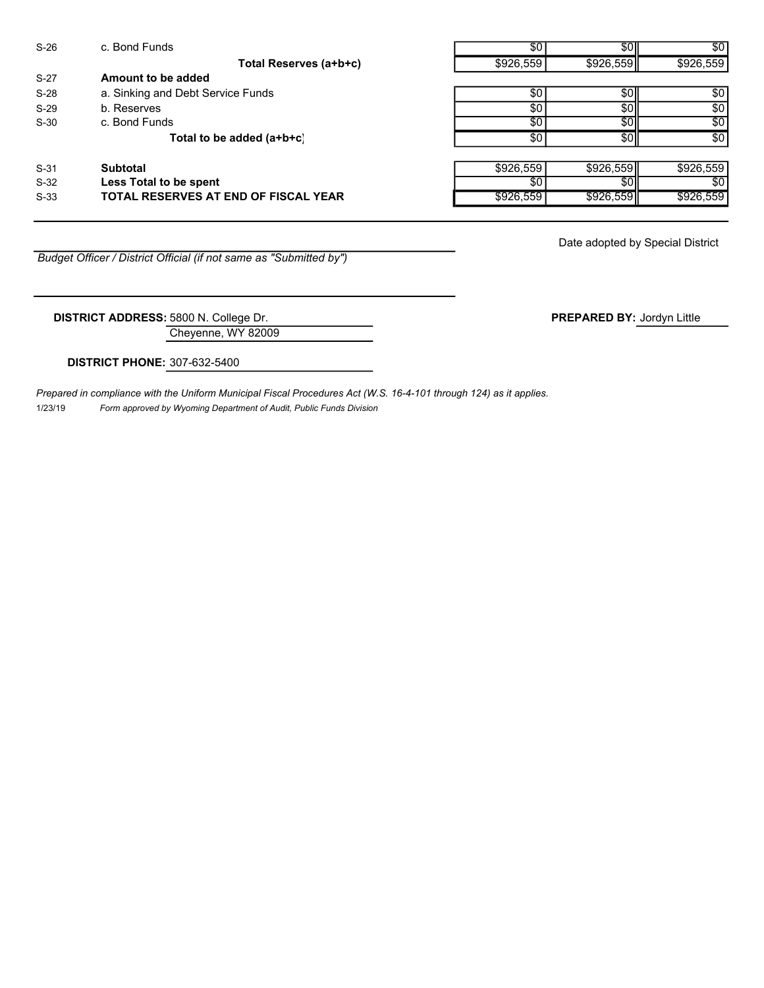| $S-26$ | c. Bond Funds                               | \$0       | \$0l             | \$0        |
|--------|---------------------------------------------|-----------|------------------|------------|
|        | Total Reserves (a+b+c)                      | \$926,559 | \$926,559        | \$926,559  |
| $S-27$ | Amount to be added                          |           |                  |            |
| $S-28$ | a. Sinking and Debt Service Funds           | \$0       | \$0II            | \$0        |
| $S-29$ | b. Reserves                                 | \$0       | \$0 <sub>l</sub> | \$0        |
| $S-30$ | c. Bond Funds                               | \$0       | <b>SO</b>        | \$0        |
|        | Total to be added (a+b+c)                   | \$0       | \$0              | $\sqrt{6}$ |
| $S-31$ | <b>Subtotal</b>                             | \$926,559 | \$926,559        | \$926,559  |
| $S-32$ | Less Total to be spent                      | \$0       | \$01             | \$0        |
| $S-33$ | <b>TOTAL RESERVES AT END OF FISCAL YEAR</b> | \$926,559 | \$926,559        | \$926,559  |
|        |                                             |           |                  |            |

*Budget Officer / District Official (if not same as "Submitted by")*

Cheyenne, WY 82009 **DISTRICT ADDRESS:** 5800 N. College Dr. **PREPARED BY:** Jordyn Little

Date adopted by Special District

**DISTRICT PHONE:** 307-632-5400

1/23/19 *Form approved by Wyoming Department of Audit, Public Funds Division Prepared in compliance with the Uniform Municipal Fiscal Procedures Act (W.S. 16-4-101 through 124) as it applies.*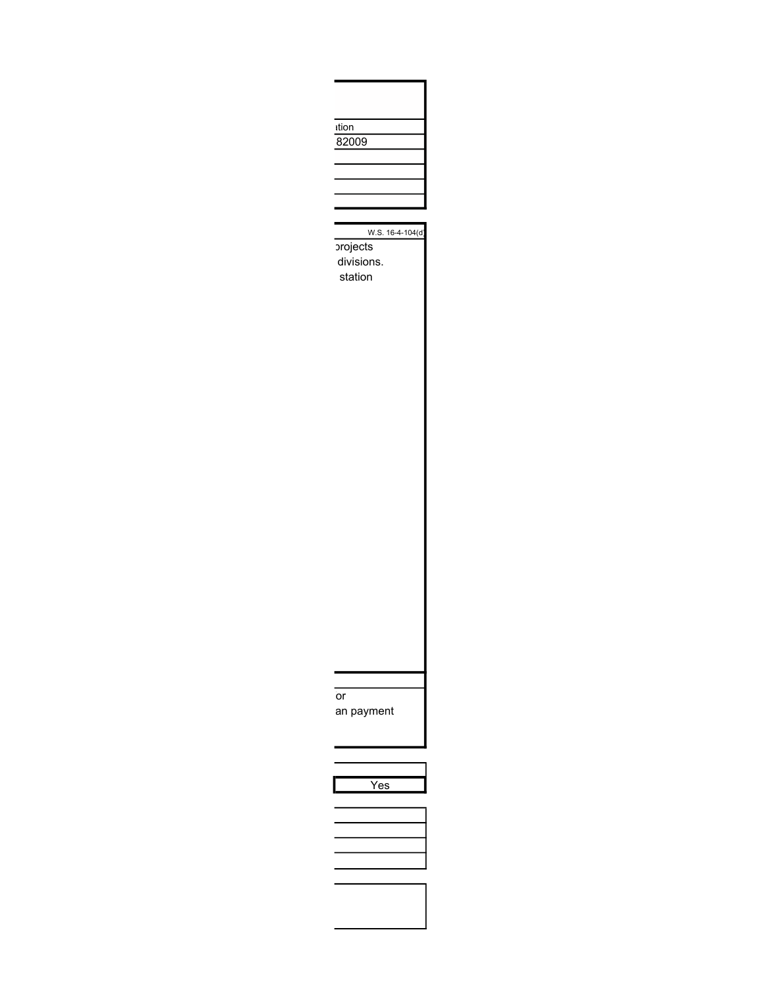W.S. 16-4-104(d) Yes  $\mathcal P$ lease view the budget for fiscal year  $\mathcal P$  as well as  $\mathcal P$  as well as  $\mathcal P$  as well as  $\mathcal P$  as well as  $\mathcal P$  as  $\mathcal P$  as  $\mathcal P$  as well as  $\mathcal P$  as  $\mathcal P$  as  $\mathcal P$  as well as  $\mathcal P$  as  $\mathcal P$  as  $\mathcal P$  as and programs. Laramie County Fire District #2 continues to grow in call volume and personnel while improving its operations and training divisions. This new fiscal year includes adding a sewer to LCFD#2 station  $\sim$  1, purchasing new community of  $\sim$ 82009 ation  $\mathcal{L}$  has three reserve accounts. The total of our reserve accounts. The total of our reserves going into  $\mathcal{L}$ emergencies, capital outlasy, and equipment. District will be placing  $\alpha$  and  $\alpha$  payment. District will be placing  $\alpha$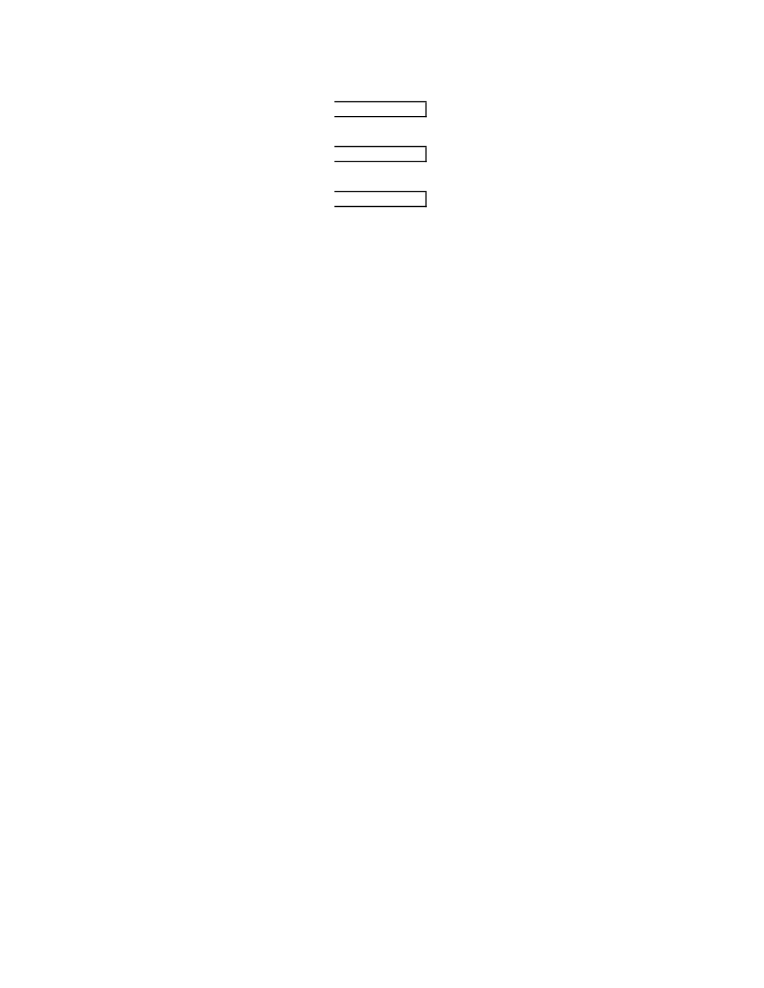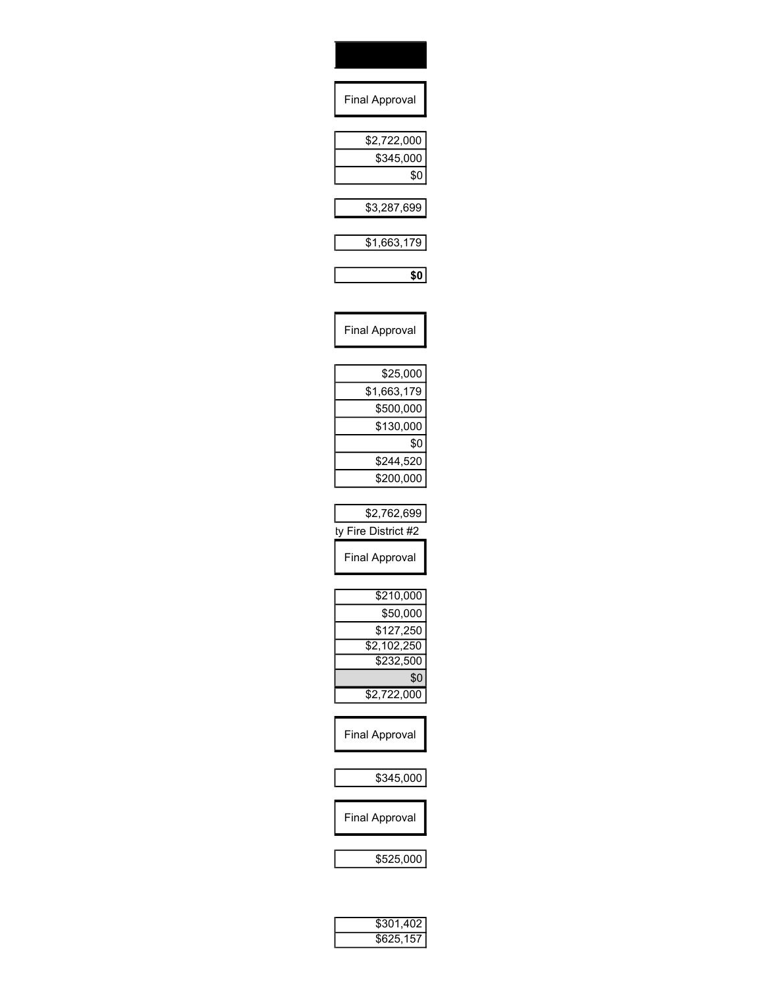# Final Approval \$2,722,000

| \$345,000   |
|-------------|
| \$0         |
|             |
| \$3,287,699 |

\$1,663,179

| 80 |
|----|
|    |

Final Approval

| \$25,000    |
|-------------|
| \$1,663,179 |
| \$500,000   |
| \$130,000   |
| \$0         |
| \$244,520   |
| \$200,000   |
|             |

\$2,762,699 ty Fire District #2

Final Approval

| \$210,000   |
|-------------|
| \$50,000    |
| \$127,250   |
| \$2.102.250 |
| \$232,500   |
| \$0         |
| \$2,722,000 |
|             |

Final Approval

\$345,000

Final Approval \$525,000

| \$301.402 |
|-----------|
| \$625,157 |